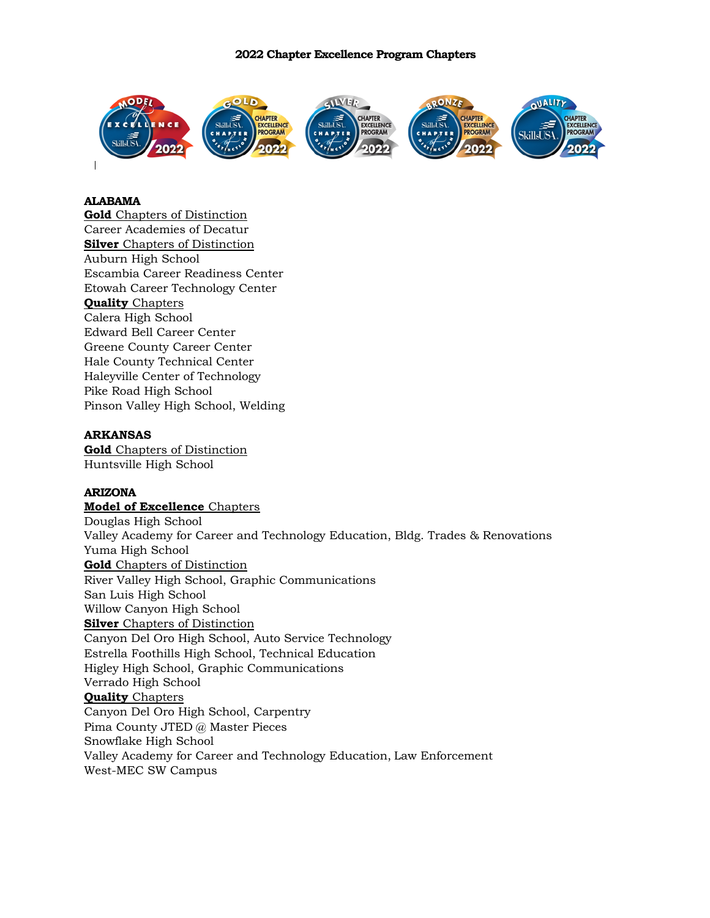

### **ALABAMA**

**Gold** Chapters of Distinction Career Academies of Decatur **Silver** Chapters of Distinction Auburn High School Escambia Career Readiness Center Etowah Career Technology Center **Quality** Chapters Calera High School Edward Bell Career Center Greene County Career Center Hale County Technical Center Haleyville Center of Technology Pike Road High School Pinson Valley High School, Welding

### **ARKANSAS**

**Gold** Chapters of Distinction Huntsville High School

### **ARIZONA**

**Model of Excellence** Chapters Douglas High School Valley Academy for Career and Technology Education, Bldg. Trades & Renovations Yuma High School **Gold** Chapters of Distinction River Valley High School, Graphic Communications San Luis High School Willow Canyon High School **Silver** Chapters of Distinction Canyon Del Oro High School, Auto Service Technology Estrella Foothills High School, Technical Education Higley High School, Graphic Communications Verrado High School **Quality** Chapters Canyon Del Oro High School, Carpentry Pima County JTED @ Master Pieces Snowflake High School Valley Academy for Career and Technology Education, Law Enforcement West-MEC SW Campus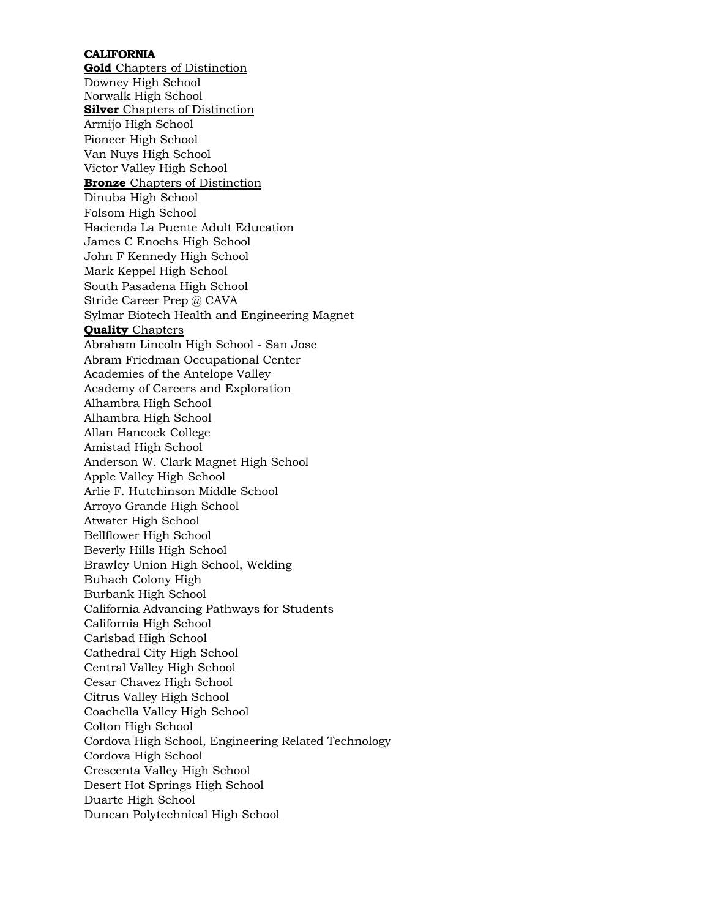#### **CALIFORNIA**

**Gold** Chapters of Distinction Downey High School Norwalk High School **Silver** Chapters of Distinction Armijo High School Pioneer High School Van Nuys High School Victor Valley High School **Bronze** Chapters of Distinction Dinuba High School Folsom High School Hacienda La Puente Adult Education James C Enochs High School John F Kennedy High School Mark Keppel High School South Pasadena High School Stride Career Prep @ CAVA Sylmar Biotech Health and Engineering Magnet **Quality** Chapters Abraham Lincoln High School - San Jose Abram Friedman Occupational Center Academies of the Antelope Valley Academy of Careers and Exploration Alhambra High School Alhambra High School Allan Hancock College Amistad High School Anderson W. Clark Magnet High School Apple Valley High School Arlie F. Hutchinson Middle School Arroyo Grande High School Atwater High School Bellflower High School Beverly Hills High School Brawley Union High School, Welding Buhach Colony High Burbank High School California Advancing Pathways for Students California High School Carlsbad High School Cathedral City High School Central Valley High School Cesar Chavez High School Citrus Valley High School Coachella Valley High School Colton High School Cordova High School, Engineering Related Technology Cordova High School Crescenta Valley High School Desert Hot Springs High School Duarte High School Duncan Polytechnical High School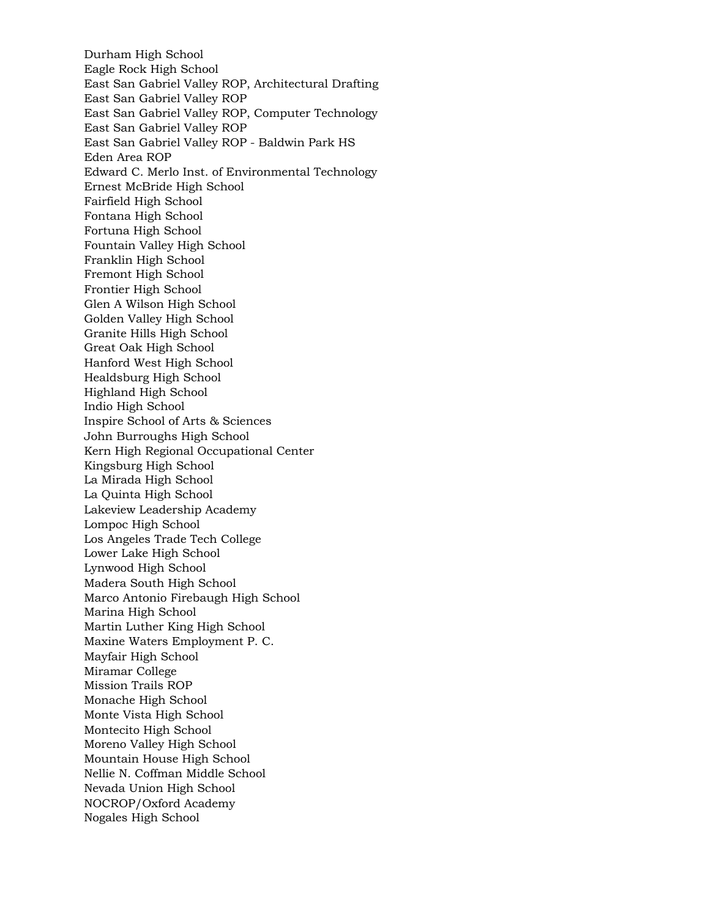Durham High School Eagle Rock High School East San Gabriel Valley ROP, Architectural Drafting East San Gabriel Valley ROP East San Gabriel Valley ROP, Computer Technology East San Gabriel Valley ROP East San Gabriel Valley ROP - Baldwin Park HS Eden Area ROP Edward C. Merlo Inst. of Environmental Technology Ernest McBride High School Fairfield High School Fontana High School Fortuna High School Fountain Valley High School Franklin High School Fremont High School Frontier High School Glen A Wilson High School Golden Valley High School Granite Hills High School Great Oak High School Hanford West High School Healdsburg High School Highland High School Indio High School Inspire School of Arts & Sciences John Burroughs High School Kern High Regional Occupational Center Kingsburg High School La Mirada High School La Quinta High School Lakeview Leadership Academy Lompoc High School Los Angeles Trade Tech College Lower Lake High School Lynwood High School Madera South High School Marco Antonio Firebaugh High School Marina High School Martin Luther King High School Maxine Waters Employment P. C. Mayfair High School Miramar College Mission Trails ROP Monache High School Monte Vista High School Montecito High School Moreno Valley High School Mountain House High School Nellie N. Coffman Middle School Nevada Union High School NOCROP/Oxford Academy Nogales High School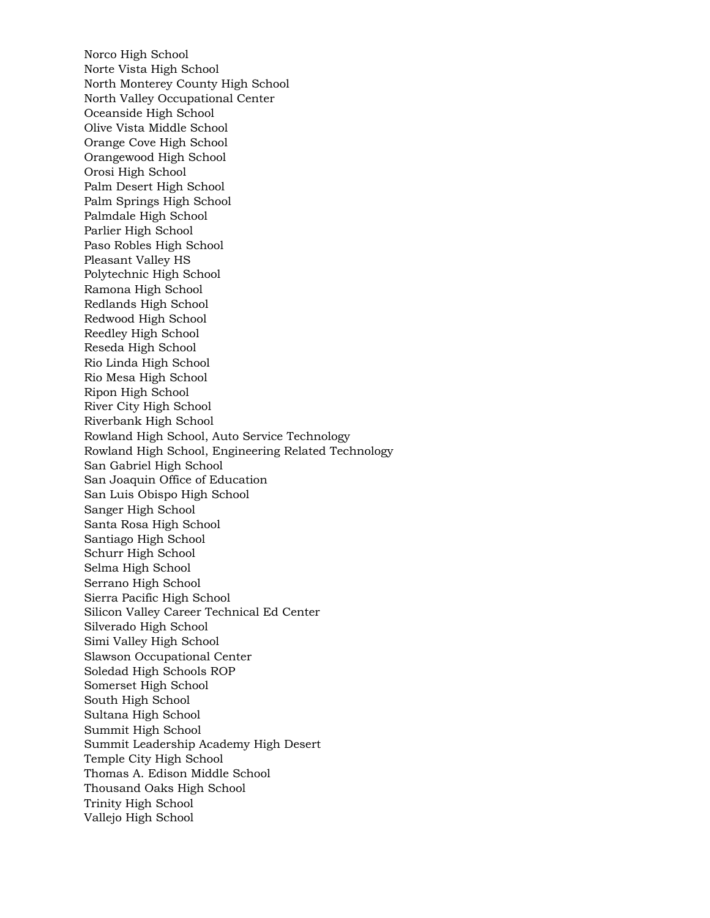Norco High School Norte Vista High School North Monterey County High School North Valley Occupational Center Oceanside High School Olive Vista Middle School Orange Cove High School Orangewood High School Orosi High School Palm Desert High School Palm Springs High School Palmdale High School Parlier High School Paso Robles High School Pleasant Valley HS Polytechnic High School Ramona High School Redlands High School Redwood High School Reedley High School Reseda High School Rio Linda High School Rio Mesa High School Ripon High School River City High School Riverbank High School Rowland High School, Auto Service Technology Rowland High School, Engineering Related Technology San Gabriel High School San Joaquin Office of Education San Luis Obispo High School Sanger High School Santa Rosa High School Santiago High School Schurr High School Selma High School Serrano High School Sierra Pacific High School Silicon Valley Career Technical Ed Center Silverado High School Simi Valley High School Slawson Occupational Center Soledad High Schools ROP Somerset High School South High School Sultana High School Summit High School Summit Leadership Academy High Desert Temple City High School Thomas A. Edison Middle School Thousand Oaks High School Trinity High School Vallejo High School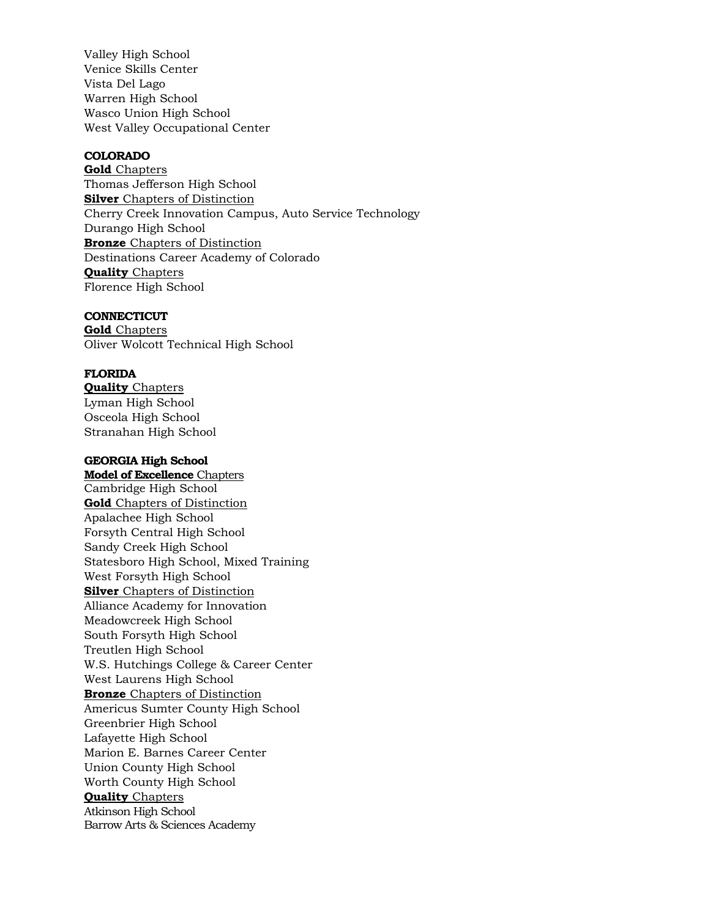Valley High School Venice Skills Center Vista Del Lago Warren High School Wasco Union High School West Valley Occupational Center

### **COLORADO**

**Gold** Chapters Thomas Jefferson High School **Silver** Chapters of Distinction Cherry Creek Innovation Campus, Auto Service Technology Durango High School **Bronze** Chapters of Distinction Destinations Career Academy of Colorado **Quality** Chapters Florence High School

### **CONNECTICUT**

**Gold** Chapters Oliver Wolcott Technical High School

### **FLORIDA**

**Quality** Chapters Lyman High School Osceola High School Stranahan High School

### **GEORGIA High School**

**Model of Excellence** Chapters Cambridge High School **Gold** Chapters of Distinction Apalachee High School Forsyth Central High School Sandy Creek High School Statesboro High School, Mixed Training West Forsyth High School **Silver** Chapters of Distinction Alliance Academy for Innovation Meadowcreek High School South Forsyth High School Treutlen High School W.S. Hutchings College & Career Center West Laurens High School **Bronze** Chapters of Distinction Americus Sumter County High School Greenbrier High School Lafayette High School Marion E. Barnes Career Center Union County High School Worth County High School **Quality** Chapters Atkinson High School Barrow Arts & Sciences Academy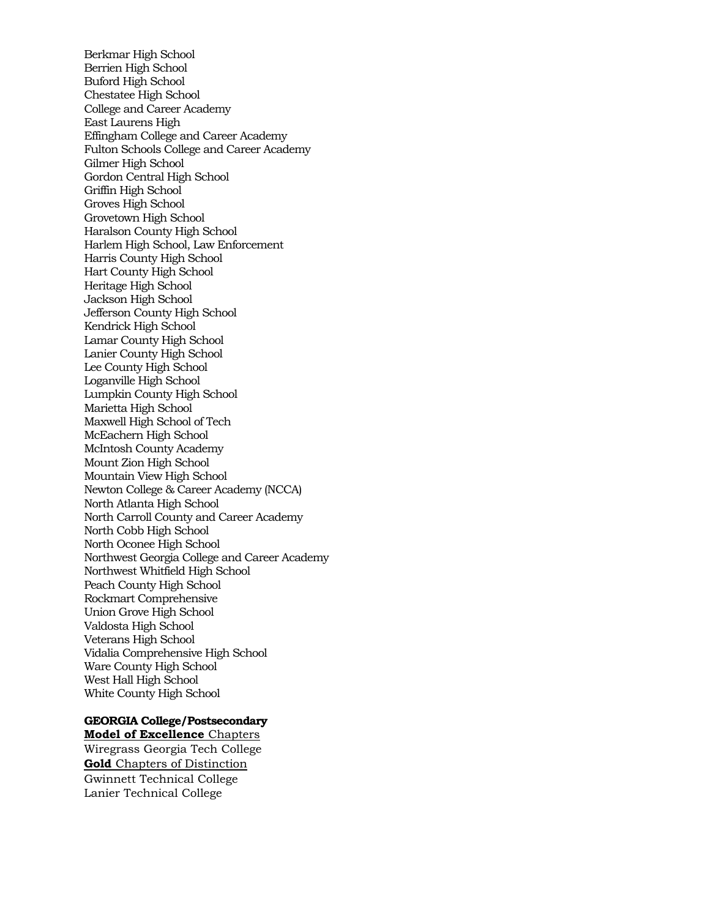Berkmar High School Berrien High School Buford High School Chestatee High School College and Career Academy East Laurens High Effingham College and Career Academy Fulton Schools College and Career Academy Gilmer High School Gordon Central High School Griffin High School Groves High School Grovetown High School Haralson County High School Harlem High School, Law Enforcement Harris County High School Hart County High School Heritage High School Jackson High School Jefferson County High School Kendrick High School Lamar County High School Lanier County High School Lee County High School Loganville High School Lumpkin County High School Marietta High School Maxwell High School of Tech McEachern High School McIntosh County Academy Mount Zion High School Mountain View High School Newton College & Career Academy (NCCA) North Atlanta High School North Carroll County and Career Academy North Cobb High School North Oconee High School Northwest Georgia College and Career Academy Northwest Whitfield High School Peach County High School Rockmart Comprehensive Union Grove High School Valdosta High School Veterans High School Vidalia Comprehensive High School Ware County High School West Hall High School White County High School

#### **GEORGIA College/Postsecondary Model of Excellence** Chapters

Wiregrass Georgia Tech College **Gold** Chapters of Distinction Gwinnett Technical College Lanier Technical College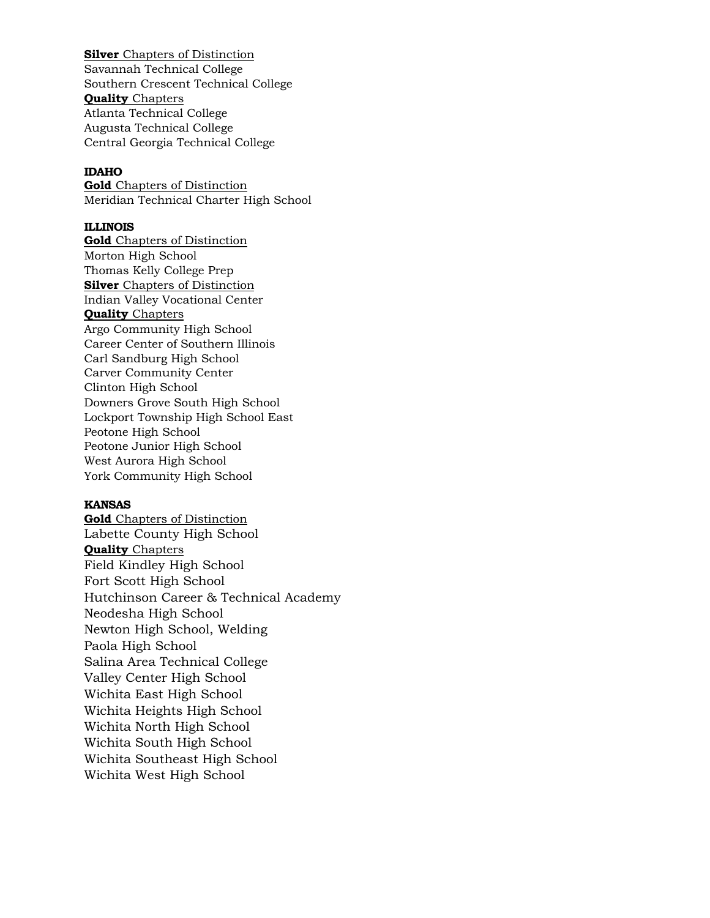**Silver** Chapters of Distinction Savannah Technical College Southern Crescent Technical College **Quality** Chapters Atlanta Technical College Augusta Technical College Central Georgia Technical College

### **IDAHO**

**Gold** Chapters of Distinction Meridian Technical Charter High School

### **ILLINOIS**

**Gold** Chapters of Distinction Morton High School Thomas Kelly College Prep **Silver** Chapters of Distinction Indian Valley Vocational Center **Quality** Chapters Argo Community High School Career Center of Southern Illinois Carl Sandburg High School Carver Community Center Clinton High School Downers Grove South High School Lockport Township High School East Peotone High School Peotone Junior High School West Aurora High School York Community High School

### **KANSAS**

**Gold** Chapters of Distinction Labette County High School **Quality** Chapters Field Kindley High School Fort Scott High School Hutchinson Career & Technical Academy Neodesha High School Newton High School, Welding Paola High School Salina Area Technical College Valley Center High School Wichita East High School Wichita Heights High School Wichita North High School Wichita South High School Wichita Southeast High School Wichita West High School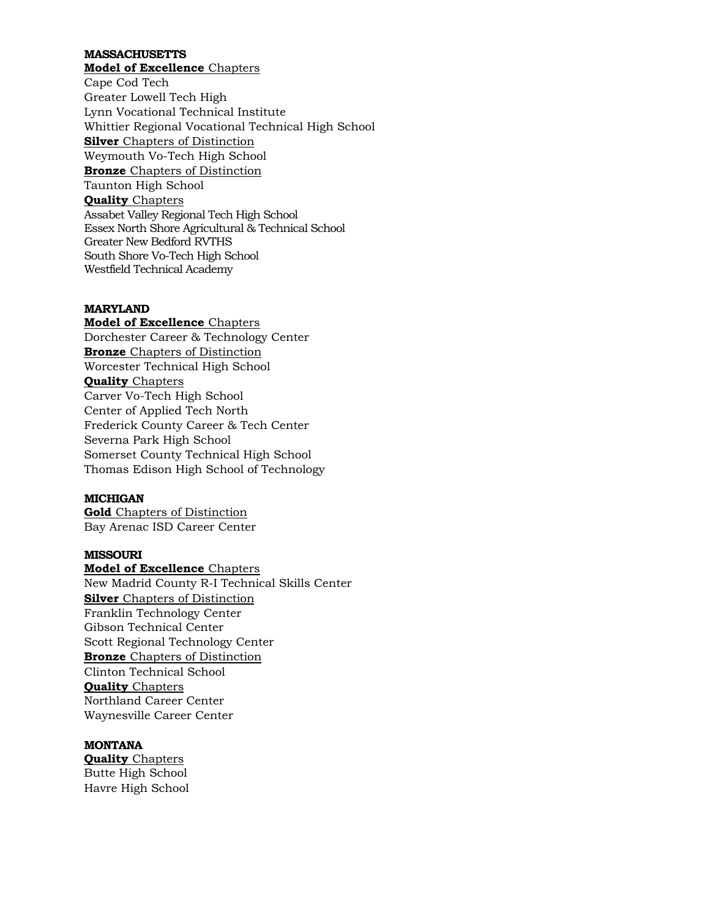## **MASSACHUSETTS**

**Model of Excellence** Chapters Cape Cod Tech Greater Lowell Tech High Lynn Vocational Technical Institute Whittier Regional Vocational Technical High School **Silver** Chapters of Distinction Weymouth Vo-Tech High School **Bronze** Chapters of Distinction Taunton High School **Quality** Chapters Assabet Valley Regional Tech High School Essex North Shore Agricultural & Technical School Greater New Bedford RVTHS South Shore Vo-Tech High School Westfield Technical Academy

### **MARYLAND**

**Model of Excellence** Chapters Dorchester Career & Technology Center **Bronze** Chapters of Distinction Worcester Technical High School **Quality** Chapters Carver Vo-Tech High School Center of Applied Tech North Frederick County Career & Tech Center Severna Park High School Somerset County Technical High School Thomas Edison High School of Technology

### **MICHIGAN**

**Gold** Chapters of Distinction Bay Arenac ISD Career Center

### **MISSOURI**

**Model of Excellence** Chapters New Madrid County R-I Technical Skills Center **Silver** Chapters of Distinction Franklin Technology Center Gibson Technical Center Scott Regional Technology Center **Bronze** Chapters of Distinction Clinton Technical School **Quality** Chapters Northland Career Center Waynesville Career Center

### **MONTANA**

**Quality** Chapters Butte High School Havre High School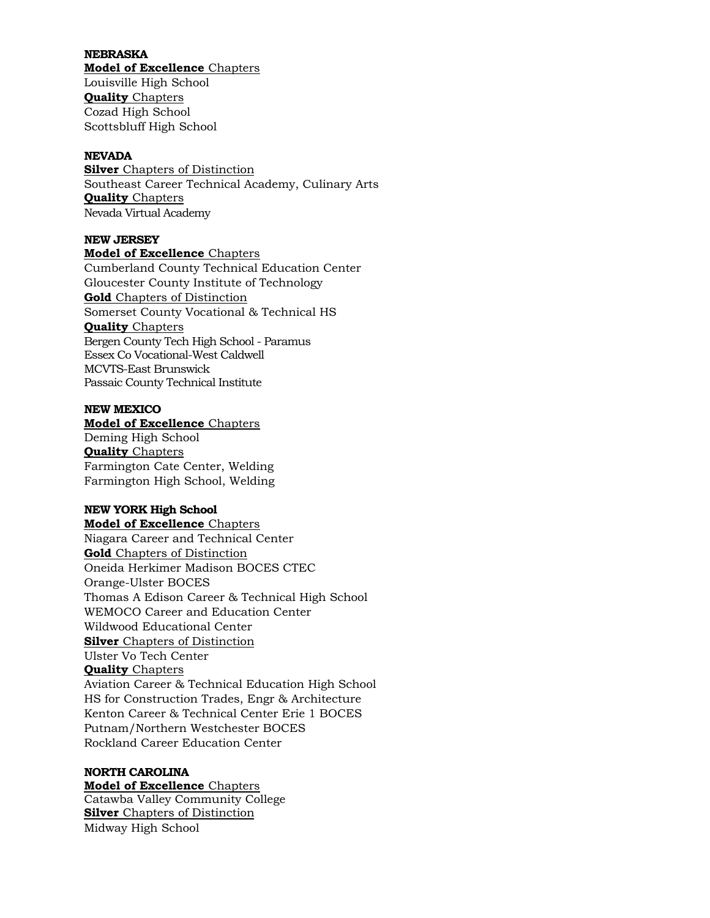#### **NEBRASKA**

**Model of Excellence** Chapters Louisville High School **Quality** Chapters Cozad High School Scottsbluff High School

#### **NEVADA**

**Silver** Chapters of Distinction Southeast Career Technical Academy, Culinary Arts **Quality** Chapters Nevada Virtual Academy

### **NEW JERSEY**

**Model of Excellence** Chapters Cumberland County Technical Education Center Gloucester County Institute of Technology **Gold** Chapters of Distinction Somerset County Vocational & Technical HS **Quality** Chapters Bergen County Tech High School - Paramus Essex Co Vocational-West Caldwell MCVTS-East Brunswick Passaic County Technical Institute

#### **NEW MEXICO**

**Model of Excellence** Chapters Deming High School **Quality** Chapters Farmington Cate Center, Welding Farmington High School, Welding

### **NEW YORK High School**

**Model of Excellence** Chapters Niagara Career and Technical Center **Gold** Chapters of Distinction Oneida Herkimer Madison BOCES CTEC Orange-Ulster BOCES Thomas A Edison Career & Technical High School WEMOCO Career and Education Center Wildwood Educational Center **Silver** Chapters of Distinction Ulster Vo Tech Center **Quality** Chapters Aviation Career & Technical Education High School HS for Construction Trades, Engr & Architecture Kenton Career & Technical Center Erie 1 BOCES Putnam/Northern Westchester BOCES Rockland Career Education Center

### **NORTH CAROLINA**

**Model of Excellence** Chapters Catawba Valley Community College **Silver** Chapters of Distinction Midway High School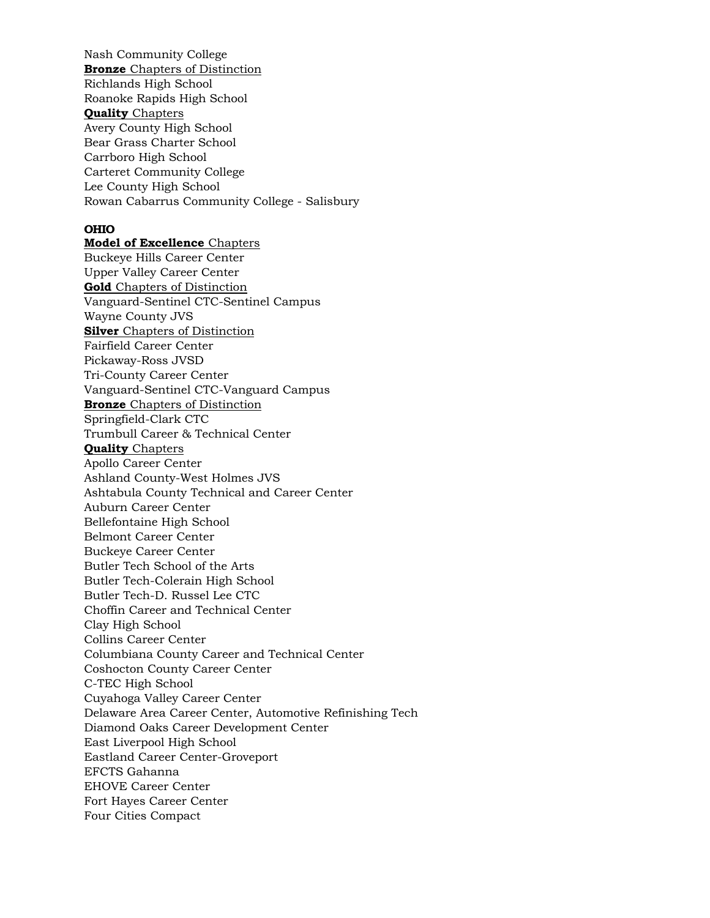Nash Community College **Bronze** Chapters of Distinction Richlands High School Roanoke Rapids High School **Quality** Chapters Avery County High School Bear Grass Charter School Carrboro High School Carteret Community College Lee County High School Rowan Cabarrus Community College - Salisbury

### **OHIO**

**Model of Excellence** Chapters Buckeye Hills Career Center Upper Valley Career Center **Gold** Chapters of Distinction Vanguard-Sentinel CTC-Sentinel Campus Wayne County JVS **Silver** Chapters of Distinction Fairfield Career Center Pickaway-Ross JVSD Tri-County Career Center Vanguard-Sentinel CTC-Vanguard Campus **Bronze** Chapters of Distinction Springfield-Clark CTC Trumbull Career & Technical Center **Quality** Chapters Apollo Career Center Ashland County-West Holmes JVS Ashtabula County Technical and Career Center Auburn Career Center Bellefontaine High School Belmont Career Center Buckeye Career Center Butler Tech School of the Arts Butler Tech-Colerain High School Butler Tech-D. Russel Lee CTC Choffin Career and Technical Center Clay High School Collins Career Center Columbiana County Career and Technical Center Coshocton County Career Center C-TEC High School Cuyahoga Valley Career Center Delaware Area Career Center, Automotive Refinishing Tech Diamond Oaks Career Development Center East Liverpool High School Eastland Career Center-Groveport EFCTS Gahanna EHOVE Career Center Fort Hayes Career Center Four Cities Compact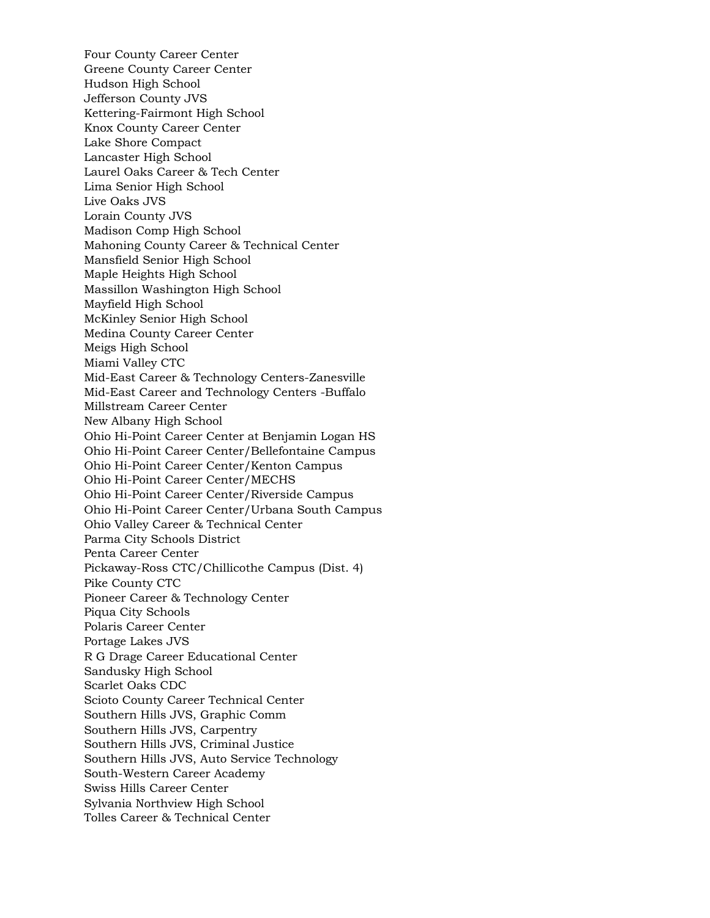Four County Career Center Greene County Career Center Hudson High School Jefferson County JVS Kettering-Fairmont High School Knox County Career Center Lake Shore Compact Lancaster High School Laurel Oaks Career & Tech Center Lima Senior High School Live Oaks JVS Lorain County JVS Madison Comp High School Mahoning County Career & Technical Center Mansfield Senior High School Maple Heights High School Massillon Washington High School Mayfield High School McKinley Senior High School Medina County Career Center Meigs High School Miami Valley CTC Mid-East Career & Technology Centers-Zanesville Mid-East Career and Technology Centers -Buffalo Millstream Career Center New Albany High School Ohio Hi-Point Career Center at Benjamin Logan HS Ohio Hi-Point Career Center/Bellefontaine Campus Ohio Hi-Point Career Center/Kenton Campus Ohio Hi-Point Career Center/MECHS Ohio Hi-Point Career Center/Riverside Campus Ohio Hi-Point Career Center/Urbana South Campus Ohio Valley Career & Technical Center Parma City Schools District Penta Career Center Pickaway-Ross CTC/Chillicothe Campus (Dist. 4) Pike County CTC Pioneer Career & Technology Center Piqua City Schools Polaris Career Center Portage Lakes JVS R G Drage Career Educational Center Sandusky High School Scarlet Oaks CDC Scioto County Career Technical Center Southern Hills JVS, Graphic Comm Southern Hills JVS, Carpentry Southern Hills JVS, Criminal Justice Southern Hills JVS, Auto Service Technology South-Western Career Academy Swiss Hills Career Center Sylvania Northview High School Tolles Career & Technical Center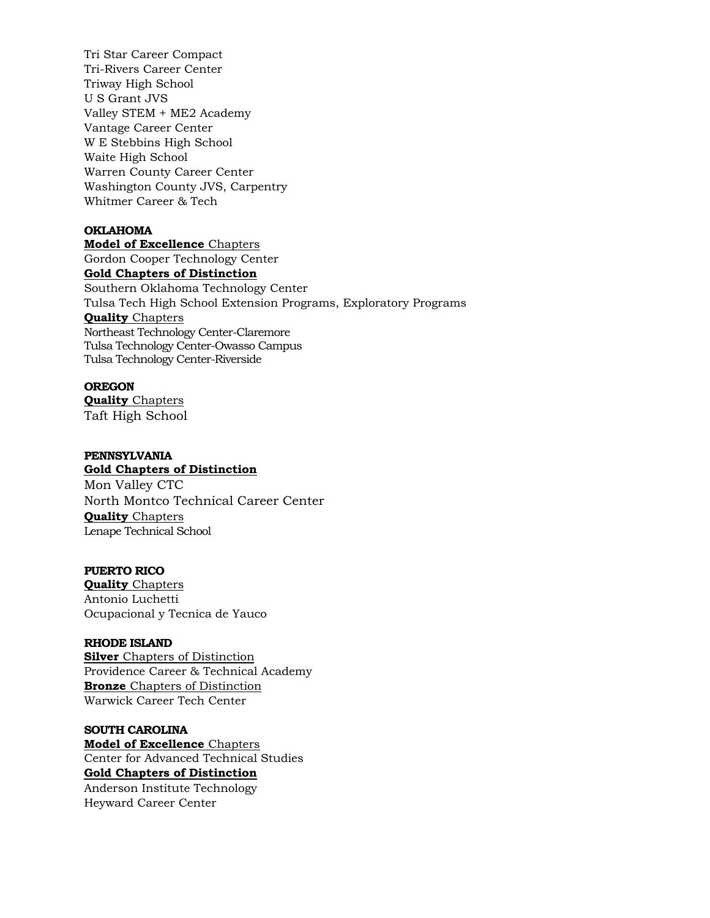Tri Star Career Compact Tri-Rivers Career Center Triway High School U S Grant JVS Valley STEM + ME2 Academy Vantage Career Center W E Stebbins High School Waite High School Warren County Career Center Washington County JVS, Carpentry Whitmer Career & Tech

### **OKLAHOMA**

**Model of Excellence** Chapters Gordon Cooper Technology Center **Gold Chapters of Distinction** Southern Oklahoma Technology Center Tulsa Tech High School Extension Programs, Exploratory Programs **Quality** Chapters Northeast Technology Center-Claremore Tulsa Technology Center-Owasso Campus Tulsa Technology Center-Riverside

### **OREGON**

**Quality** Chapters Taft High School

### **PENNSYLVANIA Gold Chapters of Distinction**

Mon Valley CTC North Montco Technical Career Center **Quality** Chapters Lenape Technical School

### **PUERTO RICO**

**Quality** Chapters Antonio Luchetti Ocupacional y Tecnica de Yauco

### **RHODE ISLAND**

**Silver** Chapters of Distinction Providence Career & Technical Academy **Bronze** Chapters of Distinction Warwick Career Tech Center

# **SOUTH CAROLINA**

**Model of Excellence** Chapters Center for Advanced Technical Studies **Gold Chapters of Distinction** Anderson Institute Technology Heyward Career Center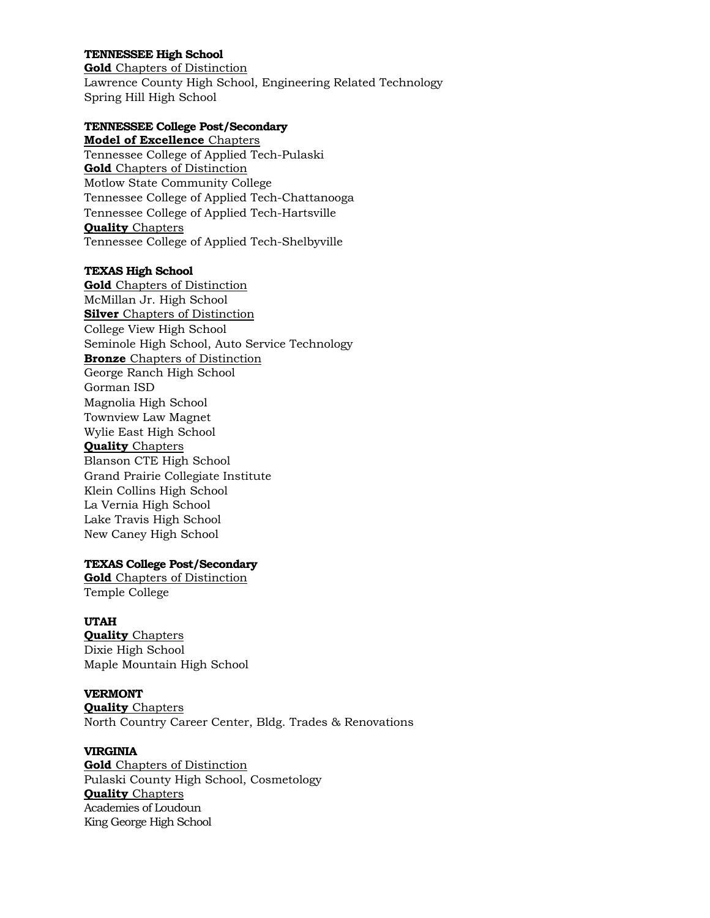### **TENNESSEE High School**

**Gold** Chapters of Distinction Lawrence County High School, Engineering Related Technology Spring Hill High School

### **TENNESSEE College Post/Secondary**

**Model of Excellence** Chapters Tennessee College of Applied Tech-Pulaski **Gold** Chapters of Distinction Motlow State Community College Tennessee College of Applied Tech-Chattanooga Tennessee College of Applied Tech-Hartsville **Quality** Chapters Tennessee College of Applied Tech-Shelbyville

### **TEXAS High School**

**Gold** Chapters of Distinction McMillan Jr. High School **Silver** Chapters of Distinction College View High School Seminole High School, Auto Service Technology **Bronze** Chapters of Distinction George Ranch High School Gorman ISD Magnolia High School Townview Law Magnet Wylie East High School **Quality** Chapters Blanson CTE High School Grand Prairie Collegiate Institute Klein Collins High School La Vernia High School Lake Travis High School New Caney High School

### **TEXAS College Post/Secondary**

**Gold** Chapters of Distinction Temple College

### **UTAH**

**Quality** Chapters Dixie High School Maple Mountain High School

#### **VERMONT**

**Quality** Chapters North Country Career Center, Bldg. Trades & Renovations

#### **VIRGINIA**

**Gold** Chapters of Distinction Pulaski County High School, Cosmetology **Quality** Chapters Academies of Loudoun King George High School